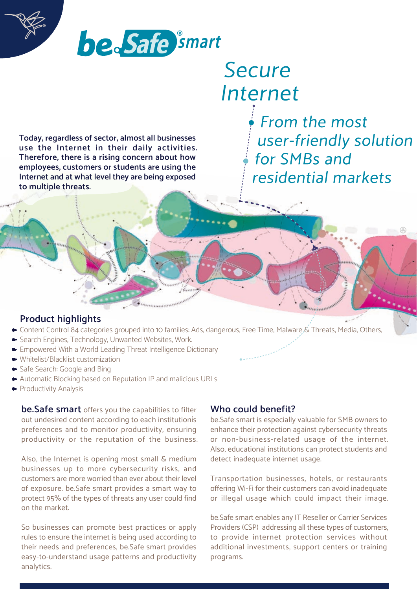



# **Secure** Internet

From the most user-friendly solution for SMBs and residential markets

**Today, regardless of sector, almost all businesses use the Internet in their daily activities. Therefore, there is a rising concern about how employees, customers or students are using the Internet and at what level they are being exposed to multiple threats.**

## **Product highlights**

- Content Control 84 categories grouped into 10 families: Ads, dangerous, Free Time, Malware & Threats, Media, Others,
- Search Engines, Technology, Unwanted Websites, Work.
- Empowered With a World Leading Threat Intelligence Dictionary
- Whitelist/Blacklist customization
- Safe Search: Google and Bing
- Automatic Blocking based on Reputation IP and malicious URLs
- Productivity Analysis

**be.Safe smart** offers you the capabilities to filter out undesired content according to each institutionís preferences and to monitor productivity, ensuring productivity or the reputation of the business.

Also, the Internet is opening most small & medium businesses up to more cybersecurity risks, and customers are more worried than ever about their level of exposure. be.Safe smart provides a smart way to protect 95% of the types of threats any user could find on the market.

So businesses can promote best practices or apply rules to ensure the internet is being used according to their needs and preferences, be.Safe smart provides easy-to-understand usage patterns and productivity analytics.

## **Who could benefit?**

be.Safe smart is especially valuable for SMB owners to enhance their protection against cybersecurity threats or non-business-related usage of the internet. Also, educational institutions can protect students and detect inadequate internet usage.

Transportation businesses, hotels, or restaurants offering Wi-Fi for their customers can avoid inadequate or illegal usage which could impact their image.

be.Safe smart enables any IT Reseller or Carrier Services Providers (CSP) addressing all these types of customers, to provide internet protection services without additional investments, support centers or training programs.